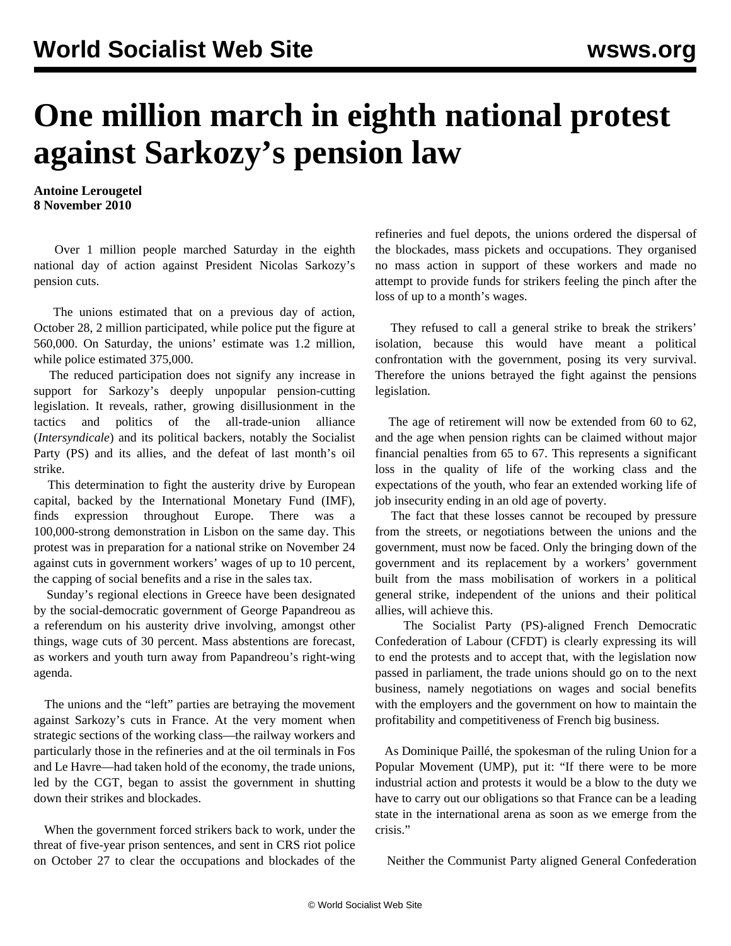## **One million march in eighth national protest against Sarkozy's pension law**

**Antoine Lerougetel 8 November 2010**

 Over 1 million people marched Saturday in the eighth national day of action against President Nicolas Sarkozy's pension cuts.

 The unions estimated that on a previous day of action, October 28, 2 million participated, while police put the figure at 560,000. On Saturday, the unions' estimate was 1.2 million, while police estimated 375,000.

 The reduced participation does not signify any increase in support for Sarkozy's deeply unpopular pension-cutting legislation. It reveals, rather, growing disillusionment in the tactics and politics of the all-trade-union alliance (*Intersyndicale*) and its political backers, notably the Socialist Party (PS) and its allies, and the defeat of last month's oil strike.

 This determination to fight the austerity drive by European capital, backed by the International Monetary Fund (IMF), finds expression throughout Europe. There was a 100,000-strong demonstration in Lisbon on the same day. This protest was in preparation for a national strike on November 24 against cuts in government workers' wages of up to 10 percent, the capping of social benefits and a rise in the sales tax.

 Sunday's regional elections in Greece have been designated by the social-democratic government of George Papandreou as a referendum on his austerity drive involving, amongst other things, wage cuts of 30 percent. Mass abstentions are forecast, as workers and youth turn away from Papandreou's right-wing agenda.

 The unions and the "left" parties are betraying the movement against Sarkozy's cuts in France. At the very moment when strategic sections of the working class—the railway workers and particularly those in the refineries and at the oil terminals in Fos and Le Havre—had taken hold of the economy, the trade unions, led by the CGT, began to assist the government in shutting down their strikes and blockades.

 When the government forced strikers back to work, under the threat of five-year prison sentences, and sent in CRS riot police on October 27 to clear the occupations and blockades of the refineries and fuel depots, the unions ordered the dispersal of the blockades, mass pickets and occupations. They organised no mass action in support of these workers and made no attempt to provide funds for strikers feeling the pinch after the loss of up to a month's wages.

 They refused to call a general strike to break the strikers' isolation, because this would have meant a political confrontation with the government, posing its very survival. Therefore the unions betrayed the fight against the pensions legislation.

 The age of retirement will now be extended from 60 to 62, and the age when pension rights can be claimed without major financial penalties from 65 to 67. This represents a significant loss in the quality of life of the working class and the expectations of the youth, who fear an extended working life of job insecurity ending in an old age of poverty.

 The fact that these losses cannot be recouped by pressure from the streets, or negotiations between the unions and the government, must now be faced. Only the bringing down of the government and its replacement by a workers' government built from the mass mobilisation of workers in a political general strike, independent of the unions and their political allies, will achieve this.

 The Socialist Party (PS)-aligned French Democratic Confederation of Labour (CFDT) is clearly expressing its will to end the protests and to accept that, with the legislation now passed in parliament, the trade unions should go on to the next business, namely negotiations on wages and social benefits with the employers and the government on how to maintain the profitability and competitiveness of French big business.

 As Dominique Paillé, the spokesman of the ruling Union for a Popular Movement (UMP), put it: "If there were to be more industrial action and protests it would be a blow to the duty we have to carry out our obligations so that France can be a leading state in the international arena as soon as we emerge from the crisis."

Neither the Communist Party aligned General Confederation